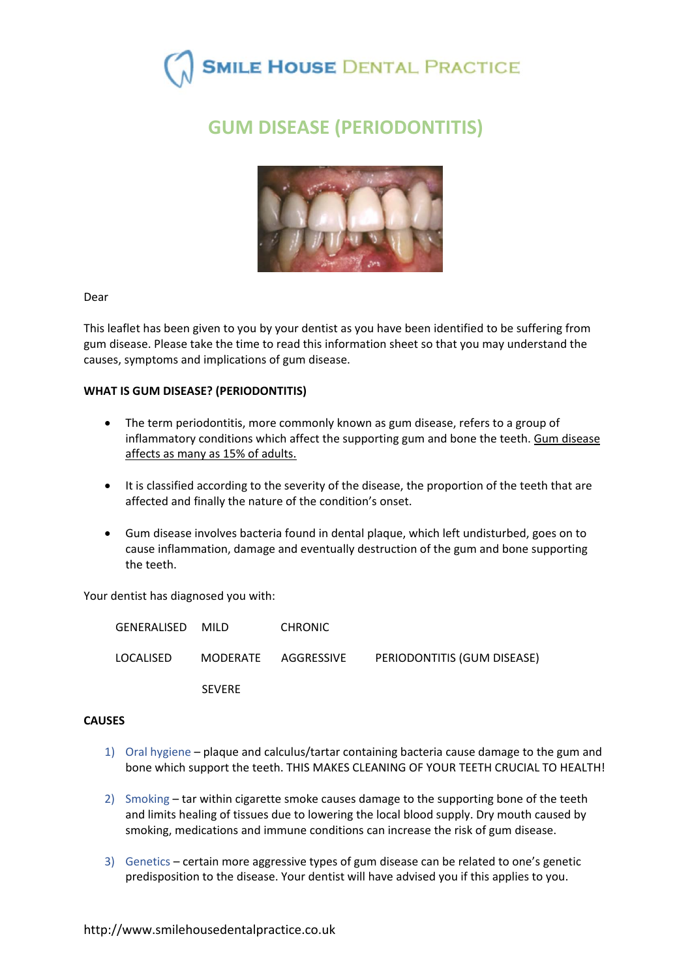

# **GUM DISEASE (PERIODONTITIS)**



Dear

This leaflet has been given to you by your dentist as you have been identified to be suffering from gum disease. Please take the time to read this information sheet so that you may understand the causes, symptoms and implications of gum disease.

## **WHAT IS GUM DISEASE? (PERIODONTITIS)**

- The term periodontitis, more commonly known as gum disease, refers to a group of inflammatory conditions which affect the supporting gum and bone the teeth. Gum disease affects as many as 15% of adults.
- It is classified according to the severity of the disease, the proportion of the teeth that are affected and finally the nature of the condition's onset.
- Gum disease involves bacteria found in dental plaque, which left undisturbed, goes on to cause inflammation, damage and eventually destruction of the gum and bone supporting the teeth.

Your dentist has diagnosed you with:

| <b>GENERALISED</b> | MILD.         | <b>CHRONIC</b>      |                             |
|--------------------|---------------|---------------------|-----------------------------|
| LOCALISED          |               | MODERATE AGGRESSIVE | PERIODONTITIS (GUM DISEASE) |
|                    | <b>SEVERE</b> |                     |                             |

## **CAUSES**

- 1) Oral hygiene plaque and calculus/tartar containing bacteria cause damage to the gum and bone which support the teeth. THIS MAKES CLEANING OF YOUR TEETH CRUCIAL TO HEALTH!
- 2) Smoking tar within cigarette smoke causes damage to the supporting bone of the teeth and limits healing of tissues due to lowering the local blood supply. Dry mouth caused by smoking, medications and immune conditions can increase the risk of gum disease.
- 3) Genetics certain more aggressive types of gum disease can be related to one's genetic predisposition to the disease. Your dentist will have advised you if this applies to you.